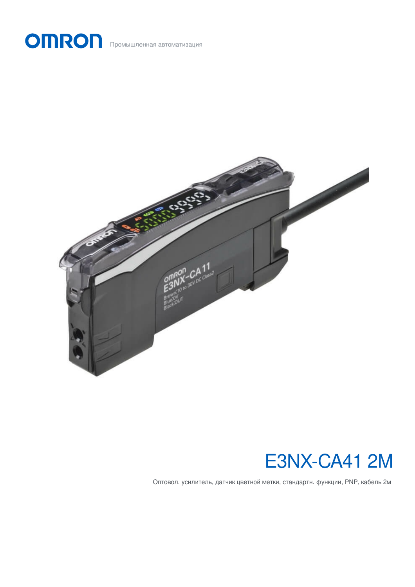



# E3NX-CA41 2M

Оптовол. усилитель, датчик цветной метки, стандартн. функции, PNP, кабель 2м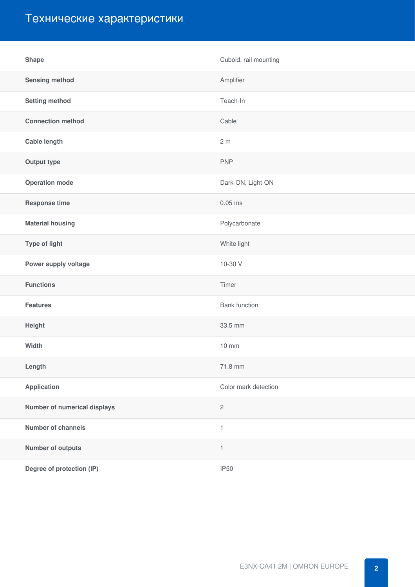## Технические характеристики

| <b>Shape</b>                 | Cuboid, rail mounting     |
|------------------------------|---------------------------|
| <b>Sensing method</b>        | Amplifier                 |
| <b>Setting method</b>        | Teach-In                  |
| <b>Connection method</b>     | Cable                     |
| <b>Cable length</b>          | 2 <sub>m</sub>            |
| <b>Output type</b>           | <b>PNP</b>                |
| <b>Operation mode</b>        | Dark-ON, Light-ON         |
| <b>Response time</b>         | $0.05$ ms                 |
| <b>Material housing</b>      | Polycarbonate             |
| Type of light                | White light               |
| Power supply voltage         | 10-30 V                   |
| <b>Functions</b>             | Timer                     |
| <b>Features</b>              | <b>Bank function</b>      |
| Height                       | 33.5 mm                   |
| Width                        | 10 mm                     |
| Length                       | 71.8 mm                   |
| <b>Application</b>           | Color mark detection      |
| Number of numerical displays | $\sqrt{2}$                |
| <b>Number of channels</b>    | $\ensuremath{\mathsf{1}}$ |
| <b>Number of outputs</b>     | $\mathbf{1}$              |
| Degree of protection (IP)    | <b>IP50</b>               |